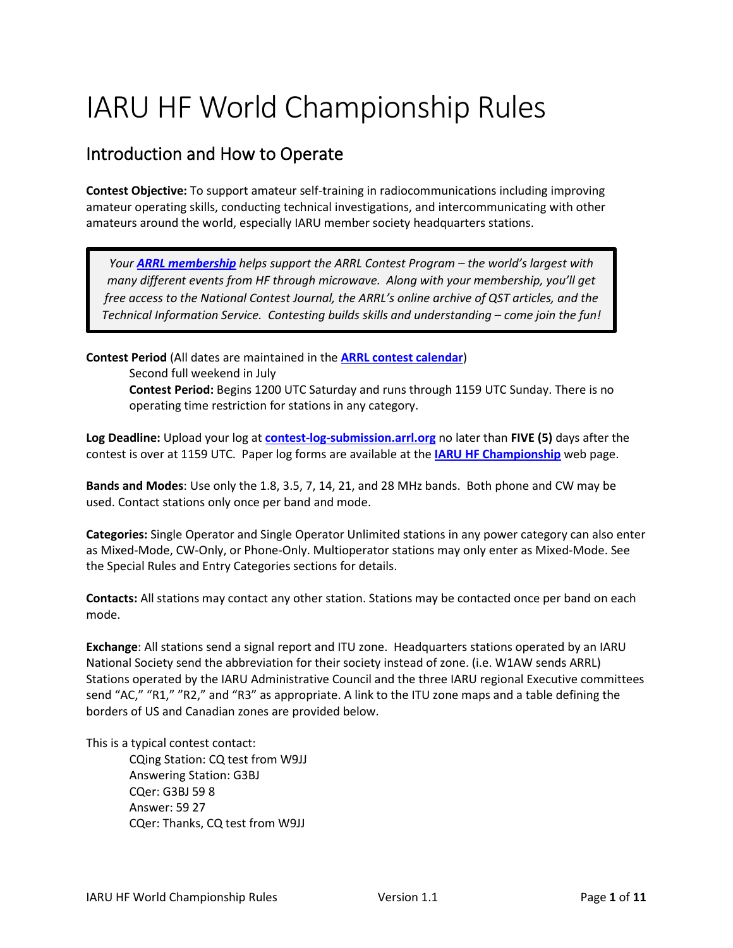# IARU HF World Championship Rules

# Introduction and How to Operate

**Contest Objective:** To support amateur self-training in radiocommunications including improving amateur operating skills, conducting technical investigations, and intercommunicating with other amateurs around the world, especially IARU member society headquarters stations.

*Your [ARRL membership](http://www.arrl.org/membership) helps support the ARRL Contest Program – the world's largest with many different events from HF through microwave. Along with your membership, you'll get free access to the National Contest Journal, the ARRL's online archive of QST articles, and the Technical Information Service. Contesting builds skills and understanding – come join the fun!*

**Contest Period** (All dates are maintained in the **[ARRL contest calendar](http://contests.arrl.org/calendar.php)**) Second full weekend in July **Contest Period:** Begins 1200 UTC Saturday and runs through 1159 UTC Sunday. There is no operating time restriction for stations in any category.

**Log Deadline:** Upload your log at **[contest-log-submission.arrl.org](http://contest-log-submission.arrl.org/)** no later than **FIVE (5)** days after the contest is over at 1159 UTC. Paper log forms are available at the **[IARU HF Championship](http://www.arrl.org/iaru-hf-world-championship)** web page.

**Bands and Modes**: Use only the 1.8, 3.5, 7, 14, 21, and 28 MHz bands. Both phone and CW may be used. Contact stations only once per band and mode.

**Categories:** Single Operator and Single Operator Unlimited stations in any power category can also enter as Mixed-Mode, CW-Only, or Phone-Only. Multioperator stations may only enter as Mixed-Mode. See the Special Rules and Entry Categories sections for details.

**Contacts:** All stations may contact any other station. Stations may be contacted once per band on each mode.

**Exchange**: All stations send a signal report and ITU zone. Headquarters stations operated by an IARU National Society send the abbreviation for their society instead of zone. (i.e. W1AW sends ARRL) Stations operated by the IARU Administrative Council and the three IARU regional Executive committees send "AC," "R1," "R2," and "R3" as appropriate. A link to the ITU zone maps and a table defining the borders of US and Canadian zones are provided below.

This is a typical contest contact:

CQing Station: CQ test from W9JJ Answering Station: G3BJ CQer: G3BJ 59 8 Answer: 59 27 CQer: Thanks, CQ test from W9JJ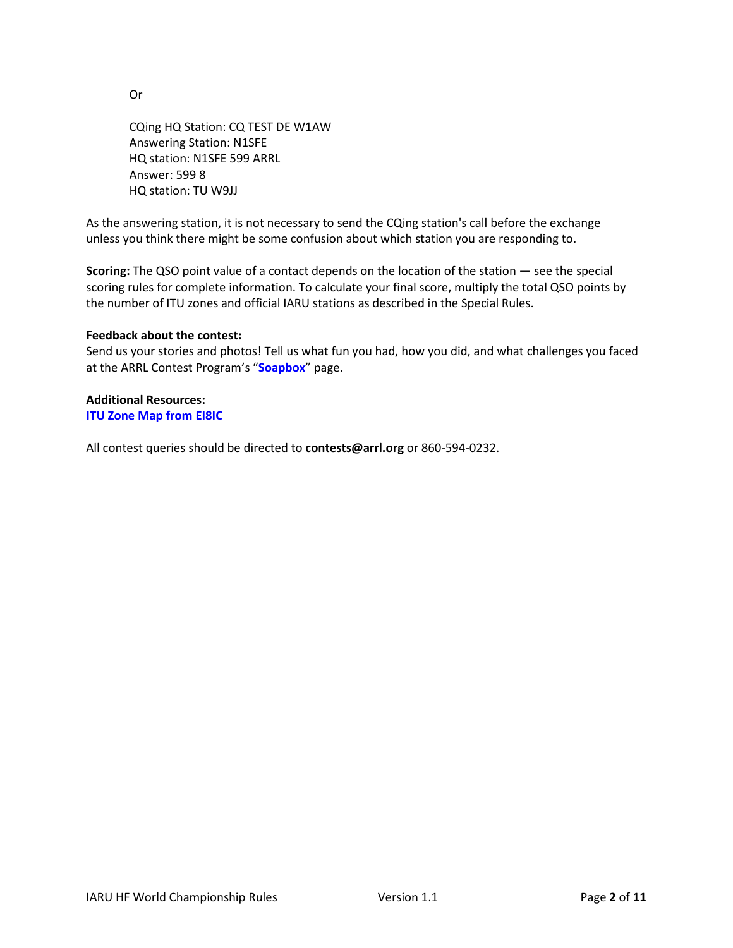Or

CQing HQ Station: CQ TEST DE W1AW Answering Station: N1SFE HQ station: N1SFE 599 ARRL Answer: 599 8 HQ station: TU W9JJ

As the answering station, it is not necessary to send the CQing station's call before the exchange unless you think there might be some confusion about which station you are responding to.

**Scoring:** The QSO point value of a contact depends on the location of the station — see the special scoring rules for complete information. To calculate your final score, multiply the total QSO points by the number of ITU zones and official IARU stations as described in the Special Rules.

#### **Feedback about the contest:**

Send us your stories and photos! Tell us what fun you had, how you did, and what challenges you faced at the ARRL Contest Program's "**[Soapbox](https://contests.arrl.org/contestsoapbox.php)**" page.

#### **Additional Resources:**

**[ITU Zone Map from EI8IC](https://www.mapability.com/ei8ic/maps/ituzone.php)**

All contest queries should be directed to **contests@arrl.org** or 860-594-0232.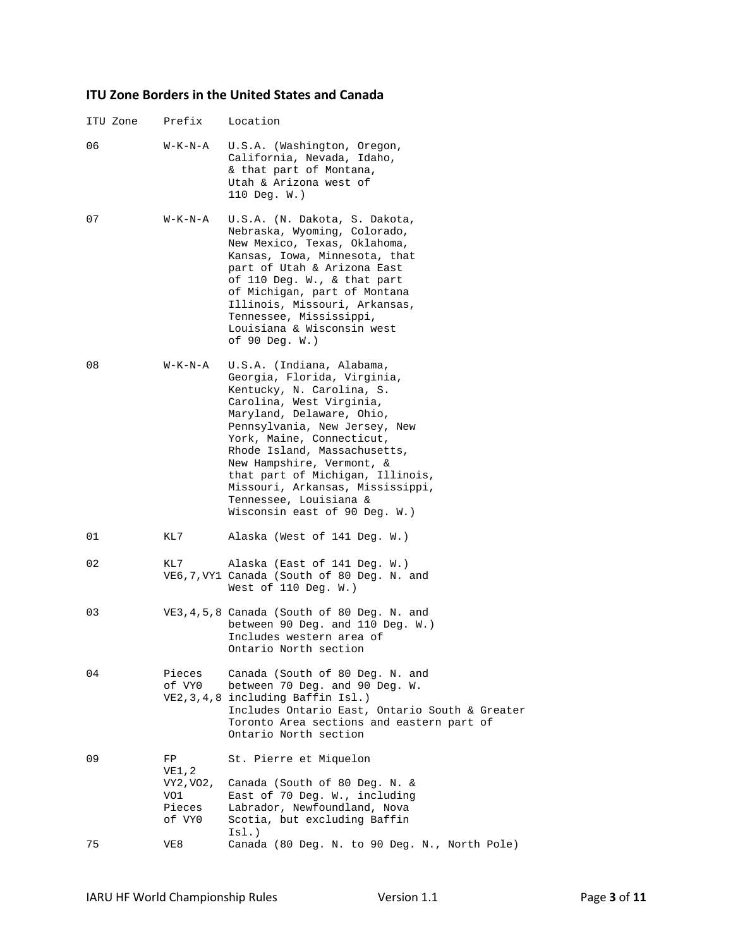### **ITU Zone Borders in the United States and Canada**

| ITU Zone | Prefix                                              | Location                                                                                                                                                                                                                                                                                                                                                                                                     |
|----------|-----------------------------------------------------|--------------------------------------------------------------------------------------------------------------------------------------------------------------------------------------------------------------------------------------------------------------------------------------------------------------------------------------------------------------------------------------------------------------|
| 06       | W-K-N-A                                             | U.S.A. (Washington, Oregon,<br>California, Nevada, Idaho,<br>& that part of Montana,<br>Utah & Arizona west of<br>$110$ Deq. W.)                                                                                                                                                                                                                                                                             |
| 07       | W-K-N-A                                             | U.S.A. (N. Dakota, S. Dakota,<br>Nebraska, Wyoming, Colorado,<br>New Mexico, Texas, Oklahoma,<br>Kansas, Iowa, Minnesota, that<br>part of Utah & Arizona East<br>of 110 Deg. W., & that part<br>of Michigan, part of Montana<br>Illinois, Missouri, Arkansas,<br>Tennessee, Mississippi,<br>Louisiana & Wisconsin west<br>of 90 Deg. $W.$ )                                                                  |
| 08       | W-K-N-A                                             | U.S.A. (Indiana, Alabama,<br>Georgia, Florida, Virginia,<br>Kentucky, N. Carolina, S.<br>Carolina, West Virginia,<br>Maryland, Delaware, Ohio,<br>Pennsylvania, New Jersey, New<br>York, Maine, Connecticut,<br>Rhode Island, Massachusetts,<br>New Hampshire, Vermont, &<br>that part of Michigan, Illinois,<br>Missouri, Arkansas, Mississippi,<br>Tennessee, Louisiana &<br>Wisconsin east of 90 Deg. W.) |
| 01       | KL7                                                 | Alaska (West of 141 Deg. W.)                                                                                                                                                                                                                                                                                                                                                                                 |
| 02       | KL7                                                 | Alaska (East of 141 Deg. W.)<br>VE6,7, VY1 Canada (South of 80 Deg. N. and<br>West of $110$ Deq. W.)                                                                                                                                                                                                                                                                                                         |
| 03       |                                                     | VE3, 4, 5, 8 Canada (South of 80 Deg. N. and<br>between 90 Deq. and 110 Deq. $W.$ )<br>Includes western area of<br>Ontario North section                                                                                                                                                                                                                                                                     |
| 04       | Pieces<br>of VYO                                    | Canada (South of 80 Deg. N. and<br>between 70 Deg. and 90 Deg. W.<br>VE2, 3, 4, 8 including Baffin Isl.)<br>Includes Ontario East, Ontario South & Greater<br>Toronto Area sections and eastern part of<br>Ontario North section                                                                                                                                                                             |
| 09       | FP<br>VE1,2<br>VY2, VO2,<br>VO1<br>Pieces<br>of VYO | St. Pierre et Miquelon<br>Canada (South of 80 Deg. N. &<br>East of 70 Deg. W., including<br>Labrador, Newfoundland, Nova<br>Scotia, but excluding Baffin<br>ISl.)                                                                                                                                                                                                                                            |
| 75       | VE8                                                 | Canada (80 Deg. N. to 90 Deg. N., North Pole)                                                                                                                                                                                                                                                                                                                                                                |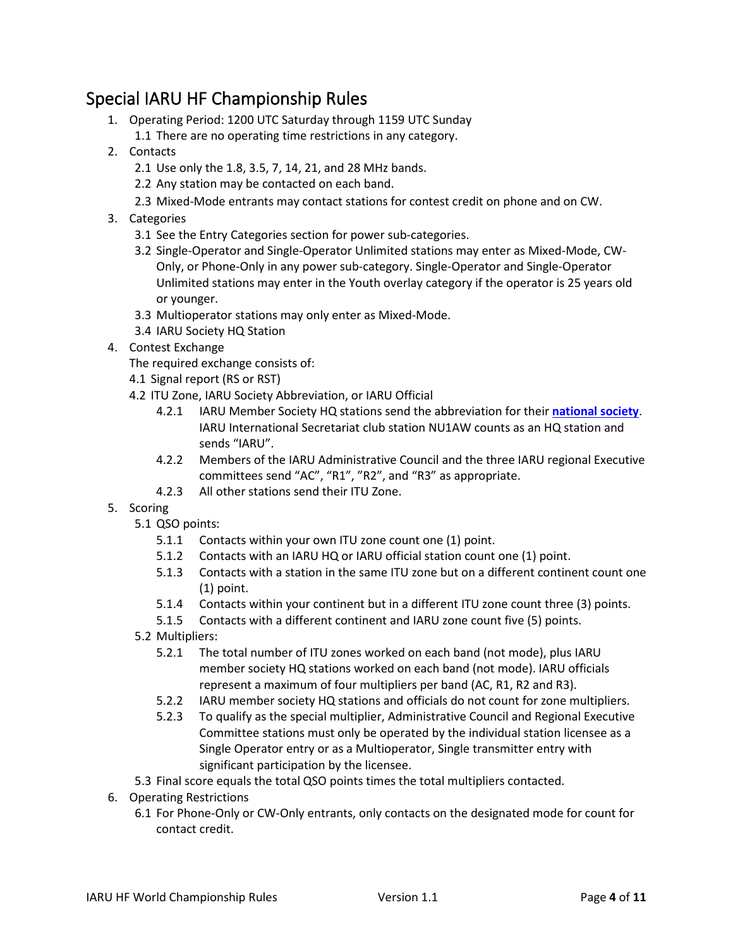# Special IARU HF Championship Rules

- 1. Operating Period: 1200 UTC Saturday through 1159 UTC Sunday
	- 1.1 There are no operating time restrictions in any category.
- 2. Contacts
	- 2.1 Use only the 1.8, 3.5, 7, 14, 21, and 28 MHz bands.
	- 2.2 Any station may be contacted on each band.
	- 2.3 Mixed-Mode entrants may contact stations for contest credit on phone and on CW.
- 3. Categories
	- 3.1 See the Entry Categories section for power sub-categories.
	- 3.2 Single-Operator and Single-Operator Unlimited stations may enter as Mixed-Mode, CW-Only, or Phone-Only in any power sub-category. Single-Operator and Single-Operator Unlimited stations may enter in the Youth overlay category if the operator is 25 years old or younger.
	- 3.3 Multioperator stations may only enter as Mixed-Mode.
	- 3.4 IARU Society HQ Station
- 4. Contest Exchange

The required exchange consists of:

- 4.1 Signal report (RS or RST)
- 4.2 ITU Zone, IARU Society Abbreviation, or IARU Official
	- 4.2.1 IARU Member Society HQ stations send the abbreviation for their **[national society](https://www.iaru.org/reference/member-societies/)**. IARU International Secretariat club station NU1AW counts as an HQ station and sends "IARU".
	- 4.2.2 Members of the IARU Administrative Council and the three IARU regional Executive committees send "AC", "R1", "R2", and "R3" as appropriate.
	- 4.2.3 All other stations send their ITU Zone.
- 5. Scoring
	- 5.1 QSO points:
		- 5.1.1 Contacts within your own ITU zone count one (1) point.
		- 5.1.2 Contacts with an IARU HQ or IARU official station count one (1) point.
		- 5.1.3 Contacts with a station in the same ITU zone but on a different continent count one (1) point.
		- 5.1.4 Contacts within your continent but in a different ITU zone count three (3) points.
		- 5.1.5 Contacts with a different continent and IARU zone count five (5) points.
	- 5.2 Multipliers:
		- 5.2.1 The total number of ITU zones worked on each band (not mode), plus IARU member society HQ stations worked on each band (not mode). IARU officials represent a maximum of four multipliers per band (AC, R1, R2 and R3).
		- 5.2.2 IARU member society HQ stations and officials do not count for zone multipliers.
		- 5.2.3 To qualify as the special multiplier, Administrative Council and Regional Executive Committee stations must only be operated by the individual station licensee as a Single Operator entry or as a Multioperator, Single transmitter entry with significant participation by the licensee.
	- 5.3 Final score equals the total QSO points times the total multipliers contacted.
- 6. Operating Restrictions
	- 6.1 For Phone-Only or CW-Only entrants, only contacts on the designated mode for count for contact credit.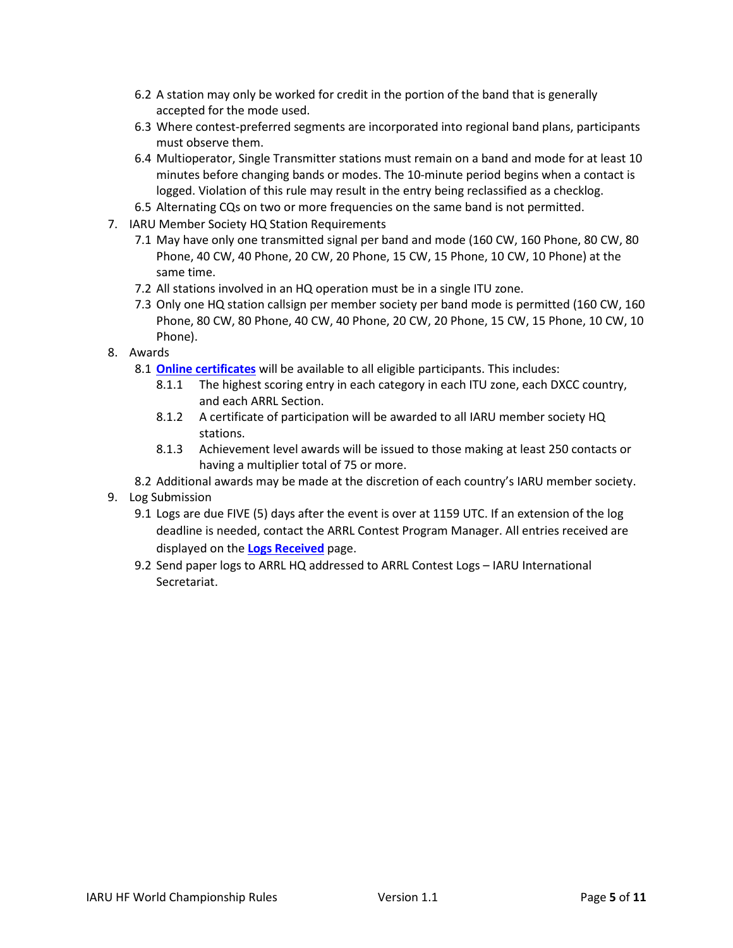- 6.2 A station may only be worked for credit in the portion of the band that is generally accepted for the mode used.
- 6.3 Where contest-preferred segments are incorporated into regional band plans, participants must observe them.
- 6.4 Multioperator, Single Transmitter stations must remain on a band and mode for at least 10 minutes before changing bands or modes. The 10-minute period begins when a contact is logged. Violation of this rule may result in the entry being reclassified as a checklog.
- 6.5 Alternating CQs on two or more frequencies on the same band is not permitted.
- 7. IARU Member Society HQ Station Requirements
	- 7.1 May have only one transmitted signal per band and mode (160 CW, 160 Phone, 80 CW, 80 Phone, 40 CW, 40 Phone, 20 CW, 20 Phone, 15 CW, 15 Phone, 10 CW, 10 Phone) at the same time.
	- 7.2 All stations involved in an HQ operation must be in a single ITU zone.
	- 7.3 Only one HQ station callsign per member society per band mode is permitted (160 CW, 160 Phone, 80 CW, 80 Phone, 40 CW, 40 Phone, 20 CW, 20 Phone, 15 CW, 15 Phone, 10 CW, 10 Phone).
- 8. Awards
	- 8.1 **[Online certificates](http://contests.arrl.org/certificates.php)** will be available to all eligible participants. This includes:
		- 8.1.1 The highest scoring entry in each category in each ITU zone, each DXCC country, and each ARRL Section.
		- 8.1.2 A certificate of participation will be awarded to all IARU member society HQ stations.
		- 8.1.3 Achievement level awards will be issued to those making at least 250 contacts or having a multiplier total of 75 or more.
	- 8.2 Additional awards may be made at the discretion of each country's IARU member society.
- 9. Log Submission
	- 9.1 Logs are due FIVE (5) days after the event is over at 1159 UTC. If an extension of the log deadline is needed, contact the ARRL Contest Program Manager. All entries received are displayed on the **[Logs Received](http://contests.arrl.org/logsreceived.php)** page.
	- 9.2 Send paper logs to ARRL HQ addressed to ARRL Contest Logs IARU International Secretariat.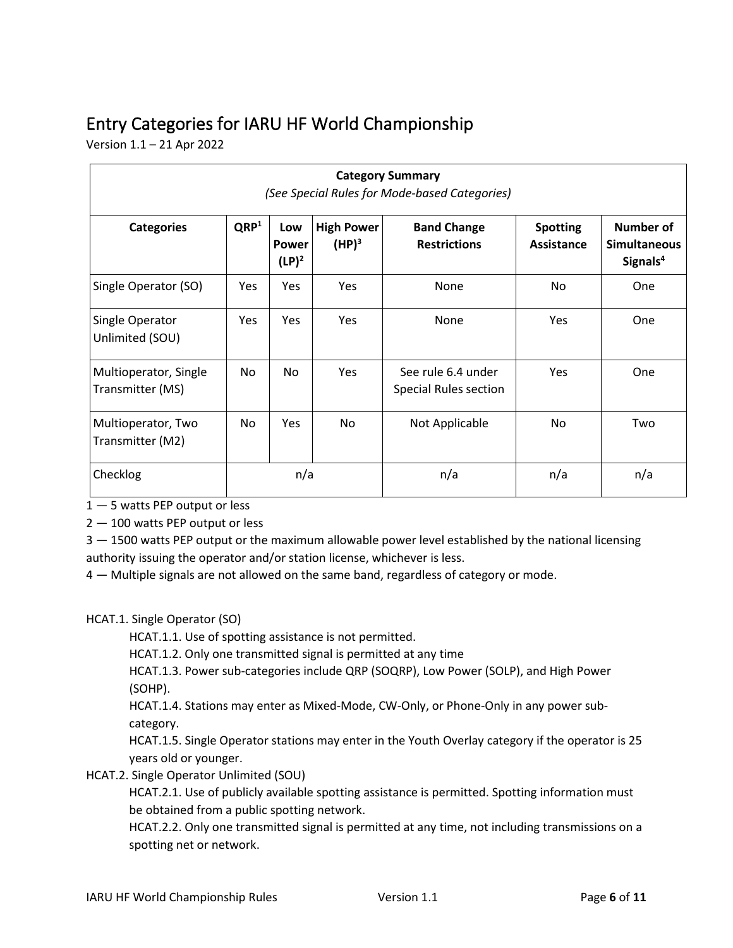# Entry Categories for IARU HF World Championship

Version 1.1 – 21 Apr 2022

| <b>Category Summary</b><br>(See Special Rules for Mode-based Categories) |                  |                                 |                               |                                             |                               |                                                          |  |
|--------------------------------------------------------------------------|------------------|---------------------------------|-------------------------------|---------------------------------------------|-------------------------------|----------------------------------------------------------|--|
| <b>Categories</b>                                                        | QRP <sup>1</sup> | Low<br><b>Power</b><br>$(LP)^2$ | <b>High Power</b><br>$(HP)^3$ | <b>Band Change</b><br><b>Restrictions</b>   | <b>Spotting</b><br>Assistance | Number of<br><b>Simultaneous</b><br>Signals <sup>4</sup> |  |
| Single Operator (SO)                                                     | <b>Yes</b>       | <b>Yes</b>                      | Yes                           | None                                        | <b>No</b>                     | One                                                      |  |
| Single Operator<br>Unlimited (SOU)                                       | Yes              | <b>Yes</b>                      | <b>Yes</b>                    | None                                        | <b>Yes</b>                    | <b>One</b>                                               |  |
| Multioperator, Single<br>Transmitter (MS)                                | No.              | No.                             | <b>Yes</b>                    | See rule 6.4 under<br>Special Rules section | Yes                           | One                                                      |  |
| Multioperator, Two<br>Transmitter (M2)                                   | No.              | <b>Yes</b>                      | No.                           | Not Applicable                              | No.                           | Two                                                      |  |
| Checklog                                                                 |                  | n/a                             |                               | n/a                                         | n/a                           | n/a                                                      |  |

1 — 5 watts PEP output or less

2 — 100 watts PEP output or less

3 – 1500 watts PEP output or the maximum allowable power level established by the national licensing authority issuing the operator and/or station license, whichever is less.

4 — Multiple signals are not allowed on the same band, regardless of category or mode.

#### HCAT.1. Single Operator (SO)

HCAT.1.1. Use of spotting assistance is not permitted.

HCAT.1.2. Only one transmitted signal is permitted at any time

HCAT.1.3. Power sub-categories include QRP (SOQRP), Low Power (SOLP), and High Power (SOHP).

HCAT.1.4. Stations may enter as Mixed-Mode, CW-Only, or Phone-Only in any power subcategory.

HCAT.1.5. Single Operator stations may enter in the Youth Overlay category if the operator is 25 years old or younger.

HCAT.2. Single Operator Unlimited (SOU)

HCAT.2.1. Use of publicly available spotting assistance is permitted. Spotting information must be obtained from a public spotting network.

HCAT.2.2. Only one transmitted signal is permitted at any time, not including transmissions on a spotting net or network.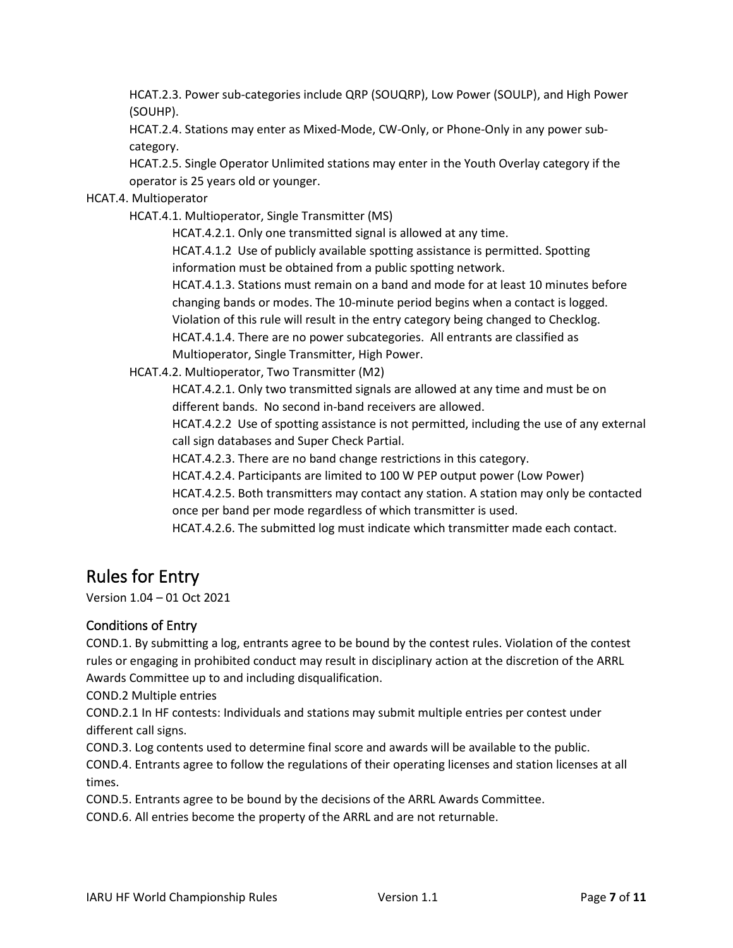HCAT.2.3. Power sub-categories include QRP (SOUQRP), Low Power (SOULP), and High Power (SOUHP).

HCAT.2.4. Stations may enter as Mixed-Mode, CW-Only, or Phone-Only in any power subcategory.

HCAT.2.5. Single Operator Unlimited stations may enter in the Youth Overlay category if the operator is 25 years old or younger.

#### HCAT.4. Multioperator

HCAT.4.1. Multioperator, Single Transmitter (MS)

HCAT.4.2.1. Only one transmitted signal is allowed at any time.

HCAT.4.1.2 Use of publicly available spotting assistance is permitted. Spotting information must be obtained from a public spotting network.

HCAT.4.1.3. Stations must remain on a band and mode for at least 10 minutes before changing bands or modes. The 10-minute period begins when a contact is logged. Violation of this rule will result in the entry category being changed to Checklog.

HCAT.4.1.4. There are no power subcategories. All entrants are classified as

Multioperator, Single Transmitter, High Power.

HCAT.4.2. Multioperator, Two Transmitter (M2)

HCAT.4.2.1. Only two transmitted signals are allowed at any time and must be on different bands. No second in-band receivers are allowed.

HCAT.4.2.2 Use of spotting assistance is not permitted, including the use of any external call sign databases and Super Check Partial.

HCAT.4.2.3. There are no band change restrictions in this category.

HCAT.4.2.4. Participants are limited to 100 W PEP output power (Low Power)

HCAT.4.2.5. Both transmitters may contact any station. A station may only be contacted once per band per mode regardless of which transmitter is used.

HCAT.4.2.6. The submitted log must indicate which transmitter made each contact.

# Rules for Entry

Version 1.04 – 01 Oct 2021

#### Conditions of Entry

COND.1. By submitting a log, entrants agree to be bound by the contest rules. Violation of the contest rules or engaging in prohibited conduct may result in disciplinary action at the discretion of the ARRL Awards Committee up to and including disqualification.

COND.2 Multiple entries

COND.2.1 In HF contests: Individuals and stations may submit multiple entries per contest under different call signs.

COND.3. Log contents used to determine final score and awards will be available to the public.

COND.4. Entrants agree to follow the regulations of their operating licenses and station licenses at all times.

COND.5. Entrants agree to be bound by the decisions of the ARRL Awards Committee.

COND.6. All entries become the property of the ARRL and are not returnable.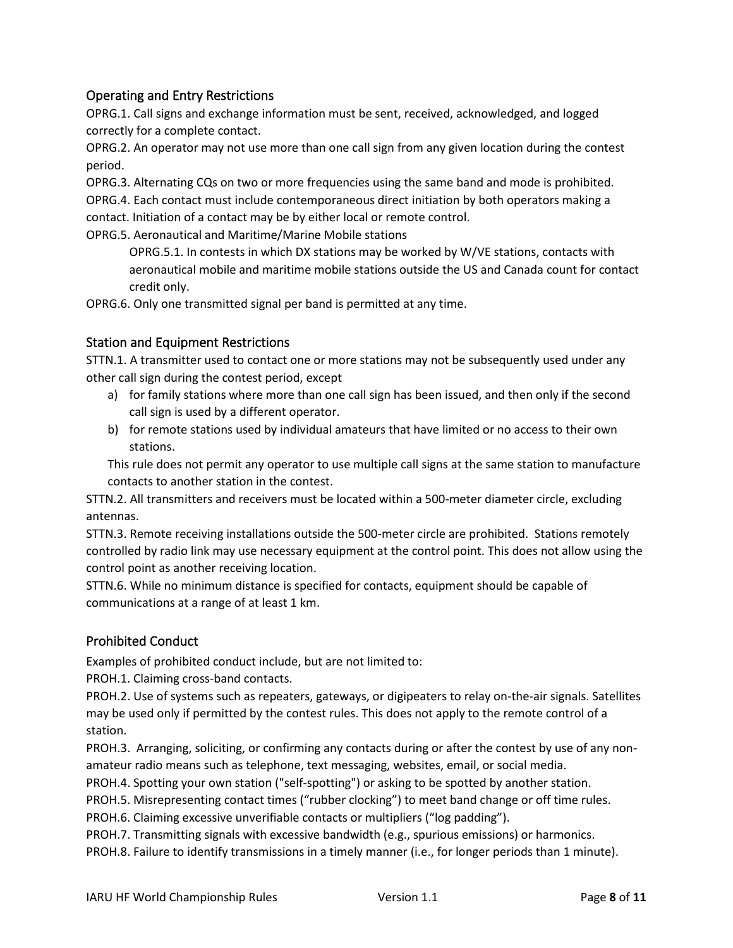#### Operating and Entry Restrictions

OPRG.1. Call signs and exchange information must be sent, received, acknowledged, and logged correctly for a complete contact.

OPRG.2. An operator may not use more than one call sign from any given location during the contest period.

OPRG.3. Alternating CQs on two or more frequencies using the same band and mode is prohibited.

OPRG.4. Each contact must include contemporaneous direct initiation by both operators making a

contact. Initiation of a contact may be by either local or remote control.

OPRG.5. Aeronautical and Maritime/Marine Mobile stations

OPRG.5.1. In contests in which DX stations may be worked by W/VE stations, contacts with aeronautical mobile and maritime mobile stations outside the US and Canada count for contact credit only.

OPRG.6. Only one transmitted signal per band is permitted at any time.

#### Station and Equipment Restrictions

STTN.1. A transmitter used to contact one or more stations may not be subsequently used under any other call sign during the contest period, except

- a) for family stations where more than one call sign has been issued, and then only if the second call sign is used by a different operator.
- b) for remote stations used by individual amateurs that have limited or no access to their own stations.

This rule does not permit any operator to use multiple call signs at the same station to manufacture contacts to another station in the contest.

STTN.2. All transmitters and receivers must be located within a 500-meter diameter circle, excluding antennas.

STTN.3. Remote receiving installations outside the 500-meter circle are prohibited. Stations remotely controlled by radio link may use necessary equipment at the control point. This does not allow using the control point as another receiving location.

STTN.6. While no minimum distance is specified for contacts, equipment should be capable of communications at a range of at least 1 km.

#### Prohibited Conduct

Examples of prohibited conduct include, but are not limited to:

PROH.1. Claiming cross-band contacts.

PROH.2. Use of systems such as repeaters, gateways, or digipeaters to relay on-the-air signals. Satellites may be used only if permitted by the contest rules. This does not apply to the remote control of a station.

PROH.3. Arranging, soliciting, or confirming any contacts during or after the contest by use of any nonamateur radio means such as telephone, text messaging, websites, email, or social media.

PROH.4. Spotting your own station ("self-spotting") or asking to be spotted by another station.

PROH.5. Misrepresenting contact times ("rubber clocking") to meet band change or off time rules.

PROH.6. Claiming excessive unverifiable contacts or multipliers ("log padding").

PROH.7. Transmitting signals with excessive bandwidth (e.g., spurious emissions) or harmonics. PROH.8. Failure to identify transmissions in a timely manner (i.e., for longer periods than 1 minute).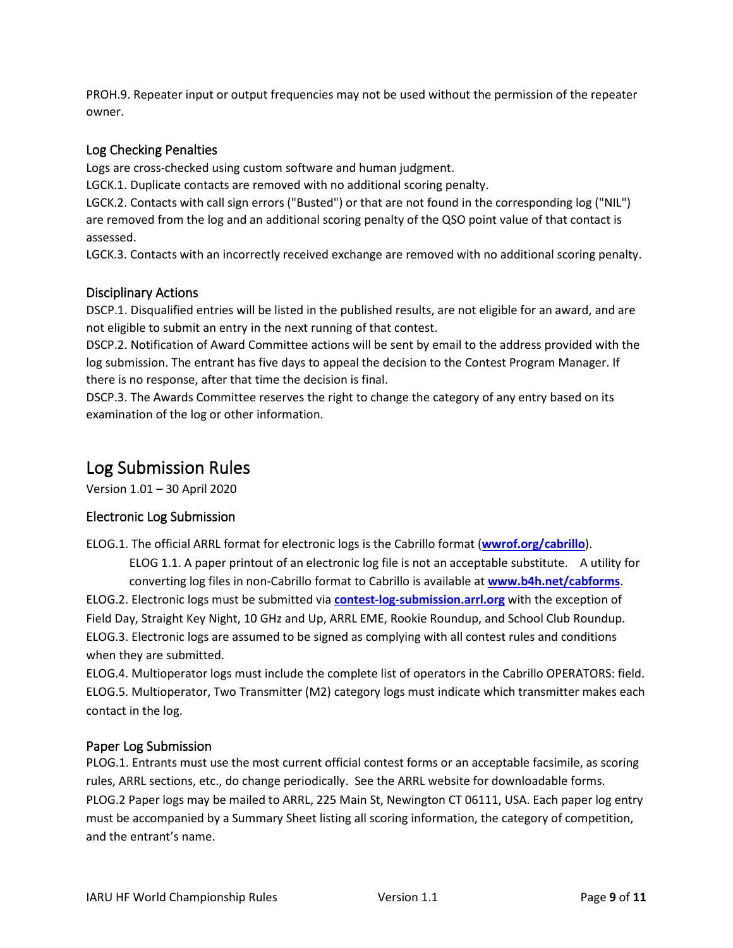PROH.9. Repeater input or output frequencies may not be used without the permission of the repeater owner.

#### Log Checking Penalties

Logs are cross-checked using custom software and human judgment.

LGCK.1. Duplicate contacts are removed with no additional scoring penalty.

LGCK.2. Contacts with call sign errors ("Busted") or that are not found in the corresponding log ("NIL") are removed from the log and an additional scoring penalty of the QSO point value of that contact is assessed.

LGCK.3. Contacts with an incorrectly received exchange are removed with no additional scoring penalty.

#### Disciplinary Actions

DSCP.1. Disqualified entries will be listed in the published results, are not eligible for an award, and are not eligible to submit an entry in the next running of that contest.

DSCP.2. Notification of Award Committee actions will be sent by email to the address provided with the log submission. The entrant has five days to appeal the decision to the Contest Program Manager. If there is no response, after that time the decision is final.

DSCP.3. The Awards Committee reserves the right to change the category of any entry based on its examination of the log or other information.

## Log Submission Rules

Version 1.01 – 30 April 2020

#### Electronic Log Submission

ELOG.1. The official ARRL format for electronic logs is the Cabrillo format (**[wwrof.org/cabrillo](http://wwrof.org/cabrillo)**).

ELOG 1.1. A paper printout of an electronic log file is not an acceptable substitute. A utility for converting log files in non-Cabrillo format to Cabrillo is available at **[www.b4h.net/cabforms](http://www.b4h.net/cabforms)**.

ELOG.2. Electronic logs must be submitted via **[contest-log-submission.arrl.org](http://contest-log-submission.arrl.org/)** with the exception of Field Day, Straight Key Night, 10 GHz and Up, ARRL EME, Rookie Roundup, and School Club Roundup. ELOG.3. Electronic logs are assumed to be signed as complying with all contest rules and conditions when they are submitted.

ELOG.4. Multioperator logs must include the complete list of operators in the Cabrillo OPERATORS: field. ELOG.5. Multioperator, Two Transmitter (M2) category logs must indicate which transmitter makes each contact in the log.

#### Paper Log Submission

PLOG.1. Entrants must use the most current official contest forms or an acceptable facsimile, as scoring rules, ARRL sections, etc., do change periodically. See the ARRL website for downloadable forms. PLOG.2 Paper logs may be mailed to ARRL, 225 Main St, Newington CT 06111, USA. Each paper log entry must be accompanied by a Summary Sheet listing all scoring information, the category of competition, and the entrant's name.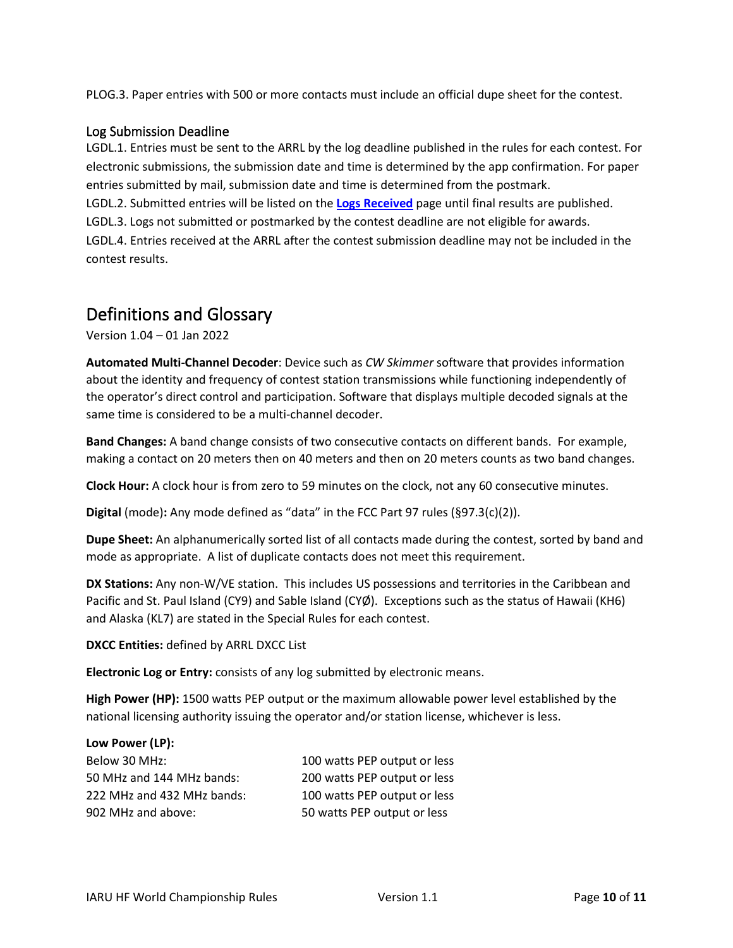PLOG.3. Paper entries with 500 or more contacts must include an official dupe sheet for the contest.

#### Log Submission Deadline

LGDL.1. Entries must be sent to the ARRL by the log deadline published in the rules for each contest. For electronic submissions, the submission date and time is determined by the app confirmation. For paper entries submitted by mail, submission date and time is determined from the postmark.

LGDL.2. Submitted entries will be listed on the **[Logs Received](http://contests.arrl.org/logsreceived.php)** page until final results are published.

LGDL.3. Logs not submitted or postmarked by the contest deadline are not eligible for awards.

LGDL.4. Entries received at the ARRL after the contest submission deadline may not be included in the contest results.

## Definitions and Glossary

Version 1.04 – 01 Jan 2022

**Automated Multi-Channel Decoder**: Device such as *CW Skimmer* software that provides information about the identity and frequency of contest station transmissions while functioning independently of the operator's direct control and participation. Software that displays multiple decoded signals at the same time is considered to be a multi-channel decoder.

**Band Changes:** A band change consists of two consecutive contacts on different bands. For example, making a contact on 20 meters then on 40 meters and then on 20 meters counts as two band changes.

**Clock Hour:** A clock hour is from zero to 59 minutes on the clock, not any 60 consecutive minutes.

**Digital** (mode)**:** Any mode defined as "data" in the FCC Part 97 rules (§97.3(c)(2)).

**Dupe Sheet:** An alphanumerically sorted list of all contacts made during the contest, sorted by band and mode as appropriate. A list of duplicate contacts does not meet this requirement.

**DX Stations:** Any non-W/VE station. This includes US possessions and territories in the Caribbean and Pacific and St. Paul Island (CY9) and Sable Island (CYØ). Exceptions such as the status of Hawaii (KH6) and Alaska (KL7) are stated in the Special Rules for each contest.

**DXCC Entities:** defined by ARRL DXCC List

**Electronic Log or Entry:** consists of any log submitted by electronic means.

**High Power (HP):** 1500 watts PEP output or the maximum allowable power level established by the national licensing authority issuing the operator and/or station license, whichever is less.

#### **Low Power (LP):**

| Below 30 MHz:              | 100 watts PEP output or less |
|----------------------------|------------------------------|
| 50 MHz and 144 MHz bands:  | 200 watts PEP output or less |
| 222 MHz and 432 MHz bands: | 100 watts PEP output or less |
| 902 MHz and above:         | 50 watts PEP output or less  |